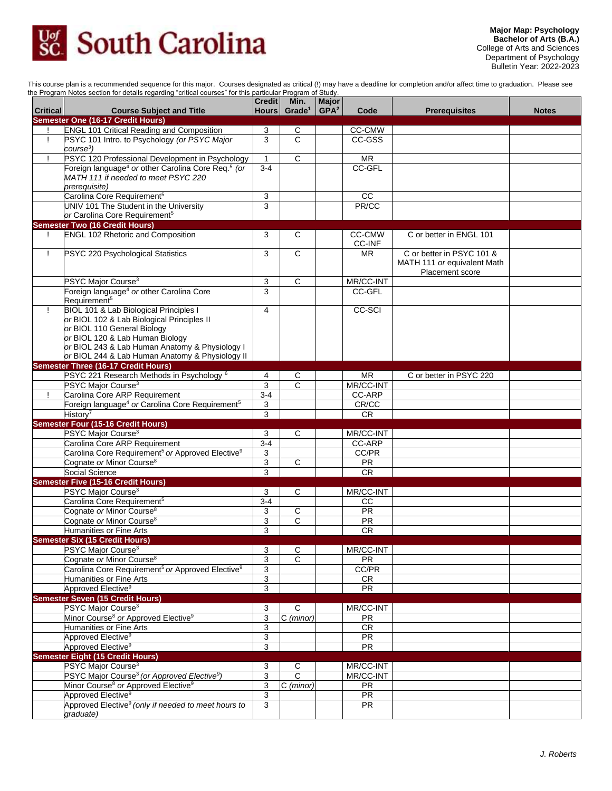

This course plan is a recommended sequence for this major. Courses designated as critical (!) may have a deadline for completion and/or affect time to graduation. Please see the Program Notes section for details regarding "critical courses" for this particular Program of Study.

| <b>Critical</b> | io i rogram riotoo oodtion for aotalio rogarality ontroal oodrooo for thio<br><b>Course Subject and Title</b> | <b>Credit</b><br><b>Hours</b> | rogram or otaa<br>Min.<br>Grade <sup>1</sup> | <b>Major</b><br>GPA <sup>2</sup> | Code                     | <b>Prerequisites</b>        | <b>Notes</b> |
|-----------------|---------------------------------------------------------------------------------------------------------------|-------------------------------|----------------------------------------------|----------------------------------|--------------------------|-----------------------------|--------------|
|                 | <b>Semester One (16-17 Credit Hours)</b>                                                                      |                               |                                              |                                  |                          |                             |              |
| Ţ               | <b>ENGL 101 Critical Reading and Composition</b><br>PSYC 101 Intro. to Psychology (or PSYC Major              | 3<br>3                        | С<br>$\mathsf{C}$                            |                                  | CC-CMW<br>CC-GSS         |                             |              |
|                 | course <sup>3</sup> )                                                                                         |                               |                                              |                                  |                          |                             |              |
| Ţ               | PSYC 120 Professional Development in Psychology                                                               | $\mathbf{1}$                  | $\overline{C}$                               |                                  | $\overline{\mathsf{MR}}$ |                             |              |
|                 | Foreign language <sup>4</sup> or other Carolina Core Req. <sup>5</sup> (or                                    | $3-4$                         |                                              |                                  | CC-GFL                   |                             |              |
|                 | MATH 111 if needed to meet PSYC 220                                                                           |                               |                                              |                                  |                          |                             |              |
|                 | prerequisite)                                                                                                 |                               |                                              |                                  |                          |                             |              |
|                 | Carolina Core Requirement <sup>5</sup>                                                                        | $\overline{3}$                |                                              |                                  | cc                       |                             |              |
|                 | UNIV 101 The Student in the University                                                                        | 3                             |                                              |                                  | PR/CC                    |                             |              |
|                 | or Carolina Core Requirement <sup>5</sup>                                                                     |                               |                                              |                                  |                          |                             |              |
|                 | <b>Semester Two (16 Credit Hours)</b>                                                                         |                               |                                              |                                  |                          |                             |              |
| Ţ               | <b>ENGL 102 Rhetoric and Composition</b>                                                                      | 3                             | C                                            |                                  | CC-CMW                   | C or better in ENGL 101     |              |
|                 |                                                                                                               |                               |                                              |                                  | CC-INF                   |                             |              |
| Ţ               | PSYC 220 Psychological Statistics                                                                             | 3                             | $\mathsf{C}$                                 |                                  | <b>MR</b>                | C or better in PSYC 101 &   |              |
|                 |                                                                                                               |                               |                                              |                                  |                          | MATH 111 or equivalent Math |              |
|                 |                                                                                                               |                               |                                              |                                  |                          | Placement score             |              |
|                 | PSYC Major Course <sup>3</sup>                                                                                | 3                             | $\mathbf C$                                  |                                  | MR/CC-INT                |                             |              |
|                 | Foreign language <sup>4</sup> or other Carolina Core<br>Requirement <sup>5</sup>                              | 3                             |                                              |                                  | CC-GFL                   |                             |              |
| ÷               | BIOL 101 & Lab Biological Principles I                                                                        | $\overline{4}$                |                                              |                                  | <b>CC-SCI</b>            |                             |              |
|                 | or BIOL 102 & Lab Biological Principles II                                                                    |                               |                                              |                                  |                          |                             |              |
|                 | or BIOL 110 General Biology                                                                                   |                               |                                              |                                  |                          |                             |              |
|                 | or BIOL 120 & Lab Human Biology                                                                               |                               |                                              |                                  |                          |                             |              |
|                 | or BIOL 243 & Lab Human Anatomy & Physiology I                                                                |                               |                                              |                                  |                          |                             |              |
|                 | or BIOL 244 & Lab Human Anatomy & Physiology II                                                               |                               |                                              |                                  |                          |                             |              |
|                 | Semester Three (16-17 Credit Hours)                                                                           |                               |                                              |                                  |                          |                             |              |
|                 | PSYC 221 Research Methods in Psychology <sup>6</sup>                                                          | 4                             | С                                            |                                  | <b>MR</b>                | C or better in PSYC 220     |              |
|                 | PSYC Major Course <sup>3</sup>                                                                                | 3                             | $\overline{C}$                               |                                  | MR/CC-INT                |                             |              |
| 1               | Carolina Core ARP Requirement                                                                                 | $3 - 4$                       |                                              |                                  | CC-ARP                   |                             |              |
|                 | Foreign language <sup>4</sup> or Carolina Core Requirement <sup>5</sup>                                       | 3                             |                                              |                                  | CR/CC                    |                             |              |
|                 | History <sup>7</sup>                                                                                          | 3                             |                                              |                                  | CR                       |                             |              |
|                 | <b>Semester Four (15-16 Credit Hours)</b>                                                                     |                               |                                              |                                  |                          |                             |              |
|                 | PSYC Major Course <sup>3</sup>                                                                                | 3                             | $\mathsf{C}$                                 |                                  | MR/CC-INT                |                             |              |
|                 | Carolina Core ARP Requirement                                                                                 | $3 - 4$                       |                                              |                                  | CC-ARP                   |                             |              |
|                 | Carolina Core Requirement <sup>5</sup> or Approved Elective <sup>9</sup>                                      | 3                             |                                              |                                  | CC/PR                    |                             |              |
|                 | Cognate or Minor Course <sup>8</sup>                                                                          | 3                             | $\overline{C}$                               |                                  | <b>PR</b>                |                             |              |
|                 | Social Science                                                                                                | 3                             |                                              |                                  | CR                       |                             |              |
|                 | <b>Semester Five (15-16 Credit Hours)</b>                                                                     |                               |                                              |                                  |                          |                             |              |
|                 | PSYC Major Course <sup>3</sup>                                                                                | 3                             | С                                            |                                  | MR/CC-INT                |                             |              |
|                 | Carolina Core Requirement <sup>5</sup><br>Cognate or Minor Course <sup>8</sup>                                | $3-4$                         |                                              |                                  | cc                       |                             |              |
|                 | Cognate or Minor Course <sup>8</sup>                                                                          | 3<br>3                        | С<br>С                                       |                                  | PR<br><b>PR</b>          |                             |              |
|                 | Humanities or Fine Arts                                                                                       | 3                             |                                              |                                  | <b>CR</b>                |                             |              |
|                 | <b>Semester Six (15 Credit Hours)</b>                                                                         |                               |                                              |                                  |                          |                             |              |
|                 | PSYC Major Course <sup>3</sup>                                                                                | 3                             | С                                            |                                  | MR/CC-INT                |                             |              |
|                 | Cognate or Minor Course <sup>8</sup>                                                                          | $\overline{3}$                | $\overline{C}$                               |                                  | PR                       |                             |              |
|                 | Carolina Core Requirement <sup>5</sup> or Approved Elective <sup>9</sup>                                      | 3                             |                                              |                                  | CC/PR                    |                             |              |
|                 | Humanities or Fine Arts                                                                                       | $\overline{3}$                |                                              |                                  | CR                       |                             |              |
|                 | Approved Elective <sup>9</sup>                                                                                | $\overline{3}$                |                                              |                                  | PR                       |                             |              |
|                 | <b>Semester Seven (15 Credit Hours)</b>                                                                       |                               |                                              |                                  |                          |                             |              |
|                 | PSYC Major Course <sup>3</sup>                                                                                | 3                             | C                                            |                                  | MR/CC-INT                |                             |              |
|                 | Minor Course <sup>8</sup> or Approved Elective <sup>9</sup>                                                   | 3                             | C (minor)                                    |                                  | PR                       |                             |              |
|                 | Humanities or Fine Arts                                                                                       | 3                             |                                              |                                  | CR                       |                             |              |
|                 | Approved Elective <sup>9</sup>                                                                                | 3                             |                                              |                                  | <b>PR</b>                |                             |              |
|                 | Approved Elective <sup>9</sup>                                                                                | 3                             |                                              |                                  | PR                       |                             |              |
|                 | <b>Semester Eight (15 Credit Hours)</b>                                                                       |                               |                                              |                                  |                          |                             |              |
|                 | PSYC Major Course <sup>3</sup>                                                                                | 3                             | С                                            |                                  | MR/CC-INT                |                             |              |
|                 | PSYC Major Course <sup>3</sup> (or Approved Elective <sup>9</sup> )                                           | $\overline{3}$                | $\overline{\text{c}}$                        |                                  | MR/CC-INT                |                             |              |
|                 | Minor Course <sup>8</sup> or Approved Elective <sup>9</sup>                                                   | $\overline{3}$                | C (minor)                                    |                                  | <b>PR</b>                |                             |              |
|                 | Approved Elective <sup>9</sup>                                                                                | 3                             |                                              |                                  | PR                       |                             |              |
|                 | Approved Elective <sup>9</sup> (only if needed to meet hours to                                               | 3                             |                                              |                                  | <b>PR</b>                |                             |              |
|                 | graduate)                                                                                                     |                               |                                              |                                  |                          |                             |              |